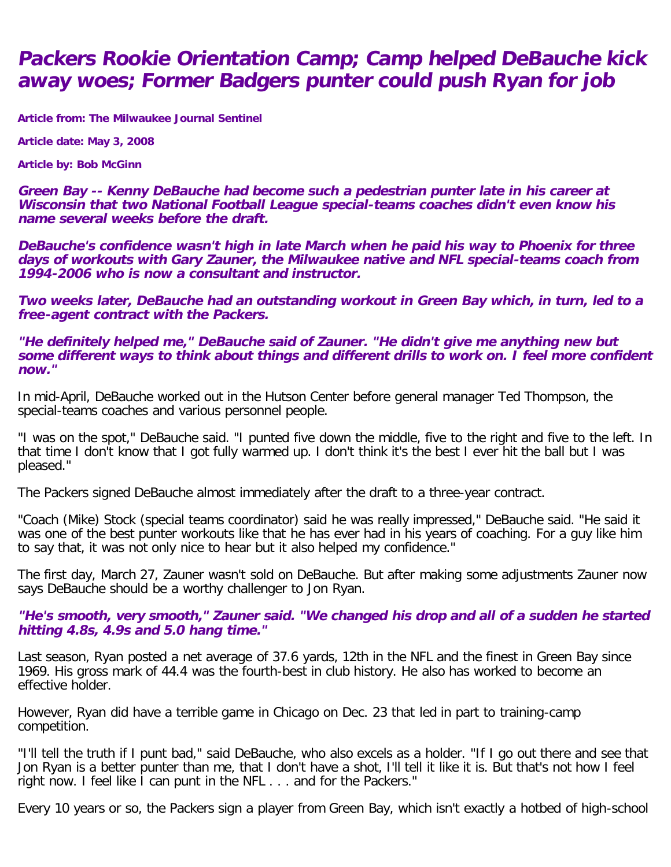## **Packers Rookie Orientation Camp; Camp helped DeBauche kick away woes; Former Badgers punter could push Ryan for job**

**Article from: The Milwaukee Journal Sentinel**

**Article date: May 3, 2008**

**Article by: Bob McGinn**

**Green Bay -- Kenny DeBauche had become such a pedestrian punter late in his career at Wisconsin that two National Football League special-teams coaches didn't even know his name several weeks before the draft.**

**DeBauche's confidence wasn't high in late March when he paid his way to Phoenix for three days of workouts with Gary Zauner, the Milwaukee native and NFL special-teams coach from 1994-2006 who is now a consultant and instructor.**

**Two weeks later, DeBauche had an outstanding workout in Green Bay which, in turn, led to a free-agent contract with the Packers.**

**"He definitely helped me," DeBauche said of Zauner. "He didn't give me anything new but some different ways to think about things and different drills to work on. I feel more confident now."**

In mid-April, DeBauche worked out in the Hutson Center before general manager Ted Thompson, the special-teams coaches and various personnel people.

"I was on the spot," DeBauche said. "I punted five down the middle, five to the right and five to the left. In that time I don't know that I got fully warmed up. I don't think it's the best I ever hit the ball but I was pleased."

The Packers signed DeBauche almost immediately after the draft to a three-year contract.

"Coach (Mike) Stock (special teams coordinator) said he was really impressed," DeBauche said. "He said it was one of the best punter workouts like that he has ever had in his years of coaching. For a guy like him to say that, it was not only nice to hear but it also helped my confidence."

The first day, March 27, Zauner wasn't sold on DeBauche. But after making some adjustments Zauner now says DeBauche should be a worthy challenger to Jon Ryan.

**"He's smooth, very smooth," Zauner said. "We changed his drop and all of a sudden he started hitting 4.8s, 4.9s and 5.0 hang time."**

Last season, Ryan posted a net average of 37.6 yards, 12th in the NFL and the finest in Green Bay since 1969. His gross mark of 44.4 was the fourth-best in club history. He also has worked to become an effective holder.

However, Ryan did have a terrible game in Chicago on Dec. 23 that led in part to training-camp competition.

"I'll tell the truth if I punt bad," said DeBauche, who also excels as a holder. "If I go out there and see that Jon Ryan is a better punter than me, that I don't have a shot, I'll tell it like it is. But that's not how I feel right now. I feel like I can punt in the NFL . . . and for the Packers."

Every 10 years or so, the Packers sign a player from Green Bay, which isn't exactly a hotbed of high-school